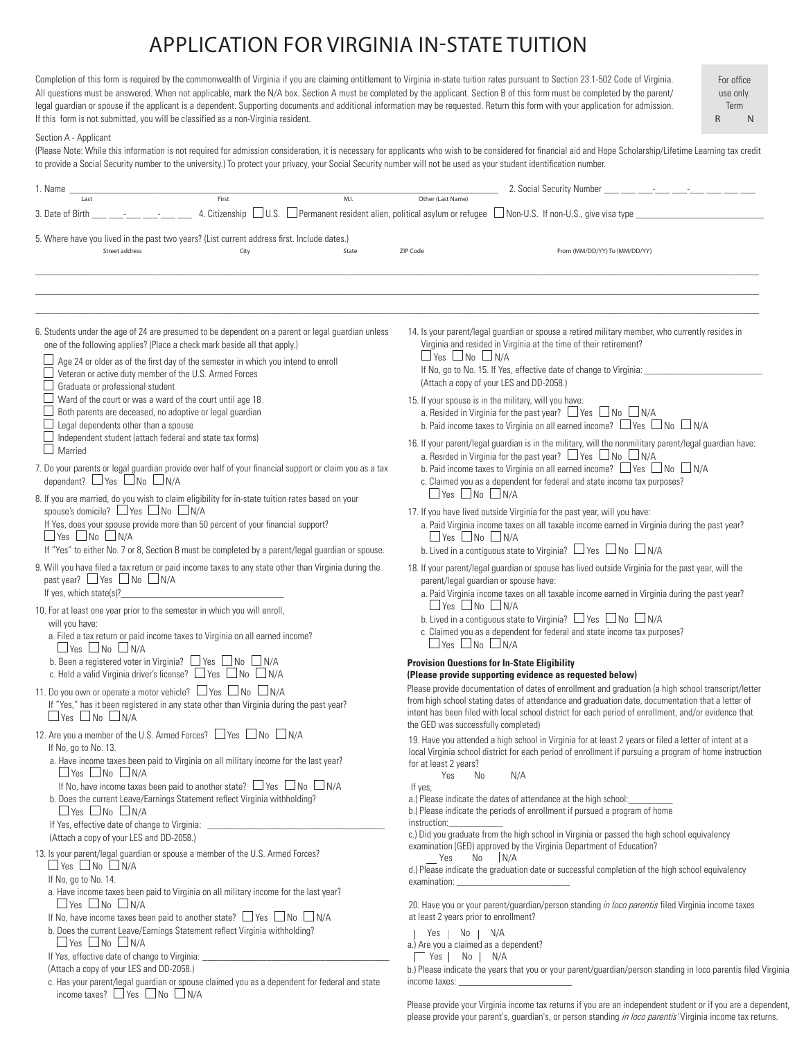## APPLICATION FOR VIRGINIA IN-STATE TUITION

Completion of this form is required by the commonwealth of Virginia if you are claiming entitlement to Virginia in-state tuition rates pursuant to Section 23.1-502 Code of Virginia. All questions must be answered. When not applicable, mark the N/A box. Section A must be completed by the applicant. Section B of this form must be completed by the parent/ legal guardian or spouse if the applicant is a dependent. Supporting documents and additional information may be requested. Return this form with your application for admission. If this form is not submitted, you will be classified as a non-Virginia resident.

For office use only. Term R N

## Section A - Applicant

(Please Note: While this information is not required for admission consideration, it is necessary for applicants who wish to be considered for financial aid and Hope Scholarship/Lifetime Learning tax credit to provide a Social Security number to the university.) To protect your privacy, your Social Security number will not be used as your student identification number.

| 1. Name                                                                                                                                                                                                                                                                                                                                                                  |               |                         |                                                                                                                                                                                                       | 2. Social Security Number ___ __ __ __ __ __ __ __ __ __ __                                                                                                                                                                                                                                                     |  |  |
|--------------------------------------------------------------------------------------------------------------------------------------------------------------------------------------------------------------------------------------------------------------------------------------------------------------------------------------------------------------------------|---------------|-------------------------|-------------------------------------------------------------------------------------------------------------------------------------------------------------------------------------------------------|-----------------------------------------------------------------------------------------------------------------------------------------------------------------------------------------------------------------------------------------------------------------------------------------------------------------|--|--|
| First<br>Last<br>3. Date of Birth                                                                                                                                                                                                                                                                                                                                        | M.I.          |                         | Other (Last Name)                                                                                                                                                                                     | 4. Citizenship $\Box$ U.S. $\Box$ Permanent resident alien, political asylum or refugee $\Box$ Non-U.S. If non-U.S., give visa type $\Box$                                                                                                                                                                      |  |  |
| 5. Where have you lived in the past two years? (List current address first. Include dates.)                                                                                                                                                                                                                                                                              |               |                         |                                                                                                                                                                                                       |                                                                                                                                                                                                                                                                                                                 |  |  |
| Street address                                                                                                                                                                                                                                                                                                                                                           | City<br>State | ZIP Code                |                                                                                                                                                                                                       | From (MM/DD/YY) To (MM/DD/YY)                                                                                                                                                                                                                                                                                   |  |  |
|                                                                                                                                                                                                                                                                                                                                                                          |               |                         |                                                                                                                                                                                                       |                                                                                                                                                                                                                                                                                                                 |  |  |
|                                                                                                                                                                                                                                                                                                                                                                          |               |                         |                                                                                                                                                                                                       |                                                                                                                                                                                                                                                                                                                 |  |  |
| 6. Students under the age of 24 are presumed to be dependent on a parent or legal guardian unless<br>one of the following applies? (Place a check mark beside all that apply.)                                                                                                                                                                                           |               |                         |                                                                                                                                                                                                       | 14. Is your parent/legal guardian or spouse a retired military member, who currently resides in<br>Virginia and resided in Virginia at the time of their retirement?                                                                                                                                            |  |  |
| Age 24 or older as of the first day of the semester in which you intend to enroll<br>Veteran or active duty member of the U.S. Armed Forces<br>Graduate or professional student                                                                                                                                                                                          |               |                         | $\Box$ Yes $\Box$ No $\Box$ N/A                                                                                                                                                                       | If No, go to No. 15. If Yes, effective date of change to Virginia: _<br>(Attach a copy of your LES and DD-2058.)                                                                                                                                                                                                |  |  |
| Ward of the court or was a ward of the court until age 18<br>Both parents are deceased, no adoptive or legal guardian<br>Legal dependents other than a spouse                                                                                                                                                                                                            |               |                         |                                                                                                                                                                                                       | 15. If your spouse is in the military, will you have:<br>a. Resided in Virginia for the past year? $\Box$ Yes $\Box$ No $\Box$ N/A<br>b. Paid income taxes to Virginia on all earned income? $\Box$ Yes $\Box$ No $\Box$ N/A                                                                                    |  |  |
| Independent student (attach federal and state tax forms)<br>$\Box$ Married                                                                                                                                                                                                                                                                                               |               |                         |                                                                                                                                                                                                       | 16. If your parent/legal guardian is in the military, will the nonmilitary parent/legal guardian have:<br>a. Resided in Virginia for the past year? $\Box$ Yes $\Box$ No $\Box$ N/A                                                                                                                             |  |  |
| 7. Do your parents or legal guardian provide over half of your financial support or claim you as a tax<br>dependent? $\Box$ Yes $\Box$ No $\Box$ N/A                                                                                                                                                                                                                     |               |                         | b. Paid income taxes to Virginia on all earned income? $\Box$ Yes $\Box$ No $\Box$ N/A<br>c. Claimed you as a dependent for federal and state income tax purposes?<br>$\Box$ Yes $\Box$ No $\Box$ N/A |                                                                                                                                                                                                                                                                                                                 |  |  |
| 8. If you are married, do you wish to claim eligibility for in-state tuition rates based on your<br>spouse's domicile? $\Box$ Yes $\Box$ No $\Box$ N/A<br>If Yes, does your spouse provide more than 50 percent of your financial support?                                                                                                                               |               |                         |                                                                                                                                                                                                       | 17. If you have lived outside Virginia for the past year, will you have:<br>a. Paid Virginia income taxes on all taxable income earned in Virginia during the past year?                                                                                                                                        |  |  |
| $\Box$ Yes $\Box$ No $\Box$ N/A<br>If "Yes" to either No. 7 or 8, Section B must be completed by a parent/legal guardian or spouse.                                                                                                                                                                                                                                      |               |                         | $\Box$ Yes $\Box$ No $\Box$ N/A                                                                                                                                                                       | b. Lived in a contiguous state to Virginia? $\Box$ Yes $\Box$ No $\Box$ N/A                                                                                                                                                                                                                                     |  |  |
| 9. Will you have filed a tax return or paid income taxes to any state other than Virginia during the<br>past year? $\Box$ Yes $\Box$ No $\Box$ N/A<br>If yes, which state(s)?                                                                                                                                                                                            |               |                         |                                                                                                                                                                                                       | 18. If your parent/legal guardian or spouse has lived outside Virginia for the past year, will the<br>parent/legal guardian or spouse have:<br>a. Paid Virginia income taxes on all taxable income earned in Virginia during the past year?                                                                     |  |  |
| 10. For at least one year prior to the semester in which you will enroll,<br>will you have:                                                                                                                                                                                                                                                                              |               |                         | $\Box$ Yes $\Box$ No $\Box$ N/A                                                                                                                                                                       | b. Lived in a contiguous state to Virginia? $\Box$ Yes $\Box$ No $\Box$ N/A                                                                                                                                                                                                                                     |  |  |
| a. Filed a tax return or paid income taxes to Virginia on all earned income?<br>$\Box$ Yes $\Box$ No $\Box$ N/A<br>b. Been a registered voter in Virginia? $\Box$ Yes $\Box$ No $\Box$ N/A                                                                                                                                                                               |               |                         | $\Box$ Yes $\Box$ No $\Box$ N/A                                                                                                                                                                       | c. Claimed you as a dependent for federal and state income tax purposes?                                                                                                                                                                                                                                        |  |  |
| c. Held a valid Virginia driver's license? $\Box$ Yes $\Box$ No $\Box$ N/A                                                                                                                                                                                                                                                                                               |               |                         |                                                                                                                                                                                                       | <b>Provision Questions for In-State Eligibility</b><br>(Please provide supporting evidence as requested below)                                                                                                                                                                                                  |  |  |
| 11. Do you own or operate a motor vehicle? □ Yes □ No □ N/A<br>If "Yes," has it been registered in any state other than Virginia during the past year?<br>$\Box$ Yes $\Box$ No $\Box$ N/A                                                                                                                                                                                |               |                         | the GED was successfully completed)                                                                                                                                                                   | Please provide documentation of dates of enrollment and graduation (a high school transcript/letter<br>from high school stating dates of attendance and graduation date, documentation that a letter of<br>intent has been filed with local school district for each period of enrollment, and/or evidence that |  |  |
| 12. Are you a member of the U.S. Armed Forces? □ Yes □ No □ N/A<br>If No, go to No. 13.<br>a. Have income taxes been paid to Virginia on all military income for the last year?                                                                                                                                                                                          |               |                         | for at least 2 years?                                                                                                                                                                                 | 19. Have you attended a high school in Virginia for at least 2 years or filed a letter of intent at a<br>local Virginia school district for each period of enrollment if pursuing a program of home instruction                                                                                                 |  |  |
| $\Box$ Yes $\Box$ No $\Box$ N/A<br>If No, have income taxes been paid to another state? $\Box$ Yes $\Box$ No $\Box$ N/A<br>b. Does the current Leave/Earnings Statement reflect Virginia withholding?<br>$\Box$ Yes $\Box$ No $\Box$ N/A<br>If Yes, effective date of change to Virginia: __________________________________<br>(Attach a copy of your LES and DD-2058.) |               | If yes,<br>instruction: | Yes<br>No                                                                                                                                                                                             | N/A<br>a.) Please indicate the dates of attendance at the high school:<br>b.) Please indicate the periods of enrollment if pursued a program of home<br>c.) Did you graduate from the high school in Virginia or passed the high school equivalency                                                             |  |  |
| 13. Is your parent/legal guardian or spouse a member of the U.S. Armed Forces?<br>$\Box$ Yes $\Box$ No $\Box$ N/A                                                                                                                                                                                                                                                        |               |                         | Yes No N/A                                                                                                                                                                                            | examination (GED) approved by the Virginia Department of Education?                                                                                                                                                                                                                                             |  |  |
| If No, go to No. 14.<br>a. Have income taxes been paid to Virginia on all military income for the last year?                                                                                                                                                                                                                                                             |               |                         |                                                                                                                                                                                                       | d.) Please indicate the graduation date or successful completion of the high school equivalency                                                                                                                                                                                                                 |  |  |
| $\Box$ Yes $\Box$ No $\Box$ N/A<br>If No, have income taxes been paid to another state? $\Box$ Yes $\Box$ No $\Box$ N/A<br>b. Does the current Leave/Earnings Statement reflect Virginia withholding?                                                                                                                                                                    |               |                         | at least 2 years prior to enrollment?<br>Yes No W/A                                                                                                                                                   | 20. Have you or your parent/guardian/person standing in loco parentis filed Virginia income taxes                                                                                                                                                                                                               |  |  |
| $\Box$ Yes $\Box$ No $\Box$ N/A<br>If Yes, effective date of change to Virginia: \\concorrelation materials are not virginial to Virginia:                                                                                                                                                                                                                               |               |                         | Yes   No   N/A                                                                                                                                                                                        | a.) Are you a claimed as a dependent?                                                                                                                                                                                                                                                                           |  |  |
| (Attach a copy of your LES and DD-2058.)<br>c. Has your parent/legal guardian or spouse claimed you as a dependent for federal and state<br>income taxes? $\Box$ Yes $\Box$ No $\Box$ N/A                                                                                                                                                                                |               |                         |                                                                                                                                                                                                       | b.) Please indicate the years that you or your parent/guardian/person standing in loco parentis filed Virginia                                                                                                                                                                                                  |  |  |

Please provide your Virginia income tax returns if you are an independent student or if you are a dependent, please provide your parent's, guardian's, or person standing in loco parentis' Virginia income tax returns.